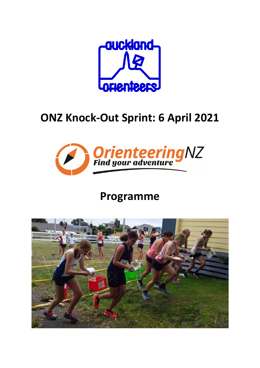

# **ONZ Knock-Out Sprint: 6 April 2021**



## **Programme**

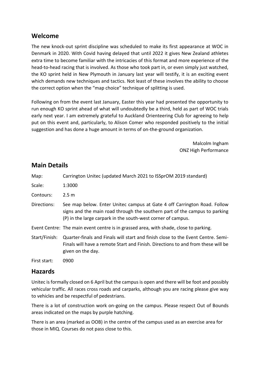#### **Welcome**

The new knock-out sprint discipline was scheduled to make its first appearance at WOC in Denmark in 2020. With Covid having delayed that until 2022 it gives New Zealand athletes extra time to become familiar with the intricacies of this format and more experience of the head-to-head racing that is involved. As those who took part in, or even simply just watched, the KO sprint held in New Plymouth in January last year will testify, it is an exciting event which demands new techniques and tactics. Not least of these involves the ability to choose the correct option when the "map choice" technique of splitting is used.

Following on from the event last January, Easter this year had presented the opportunity to run enough KO sprint ahead of what will undoubtedly be a third, held as part of WOC trials early next year. I am extremely grateful to Auckland Orienteering Club for agreeing to help put on this event and, particularly, to Alison Comer who responded positively to the initial suggestion and has done a huge amount in terms of on-the-ground organization.

> Malcolm Ingham ONZ High Performance

| Map:          | Carrington Unitec (updated March 2021 to ISSprOM 2019 standard)                                                                                                                                                        |
|---------------|------------------------------------------------------------------------------------------------------------------------------------------------------------------------------------------------------------------------|
| Scale:        | 1:3000                                                                                                                                                                                                                 |
| Contours:     | 2.5 <sub>m</sub>                                                                                                                                                                                                       |
| Directions:   | See map below. Enter Unitec campus at Gate 4 off Carrington Road. Follow<br>signs and the main road through the southern part of the campus to parking<br>(P) in the large carpark in the south-west corner of campus. |
|               | Event Centre: The main event centre is in grassed area, with shade, close to parking.                                                                                                                                  |
| Start/Finish: | Quarter-finals and Finals will start and finish close to the Event Centre. Semi-<br>Finals will have a remote Start and Finish. Directions to and from these will be<br>given on the day.                              |
| First start:  | 0900                                                                                                                                                                                                                   |

## **Main Details**

## **Hazards**

Unitec is formally closed on 6 April but the campus is open and there will be foot and possibly vehicular traffic. All races cross roads and carparks, although you are racing please give way to vehicles and be respectful of pedestrians.

There is a lot of construction work on-going on the campus. Please respect Out of Bounds areas indicated on the maps by purple hatching.

There is an area (marked as OOB) in the centre of the campus used as an exercise area for those in MIQ. Courses do not pass close to this.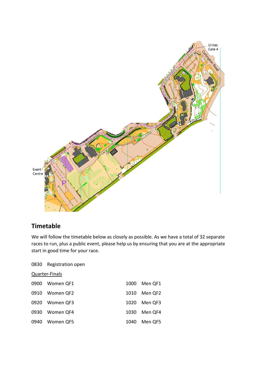

## **Timetable**

We will follow the timetable below as closely as possible. As we have a total of 32 separate races to run, plus a public event, please help us by ensuring that you are at the appropriate start in good time for your race.

#### 0830 Registration open

Quarter-Finals

| 0900 Women QF1 |      | 1000 Men QF1 |
|----------------|------|--------------|
| 0910 Women QF2 |      | 1010 Men QF2 |
| 0920 Women QF3 |      | 1020 Men QF3 |
| 0930 Women QF4 |      | 1030 Men QF4 |
| 0940 Women QF5 | 1040 | Men QF5      |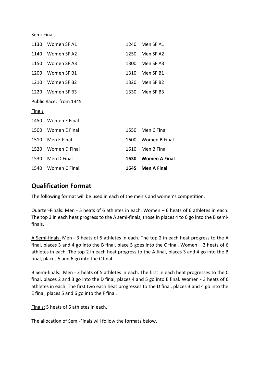Semi-Finals

|                        | 1540 Women C Final | 1645 | <b>Men A Final</b>   |  |  |
|------------------------|--------------------|------|----------------------|--|--|
|                        | 1530 Men D Final   | 1630 | <b>Women A Final</b> |  |  |
|                        | 1520 Women D Final | 1610 | Men B Final          |  |  |
|                        | 1510 Men E Final   |      | 1600 Women B Final   |  |  |
|                        | 1500 Women E Final |      | 1550 Men C Final     |  |  |
|                        | 1450 Women F Final |      |                      |  |  |
| <b>Finals</b>          |                    |      |                      |  |  |
| Public Race: from 1345 |                    |      |                      |  |  |
|                        | 1220 Women SF B3   | 1330 | Men SF B3            |  |  |
|                        | 1210 Women SF B2   | 1320 | Men SF B2            |  |  |
|                        | 1200 Women SF B1   | 1310 | Men SF B1            |  |  |
|                        | 1150 Women SF A3   | 1300 | Men SF A3            |  |  |
|                        | 1140 Women SF A2   | 1250 | Men SF A2            |  |  |
| 1130                   | Women SF A1        | 1240 | Men SF A1            |  |  |

## **Qualification Format**

The following format will be used in each of the men's and women's competition.

Quarter-Finals: Men - 5 heats of 6 athletes in each. Women – 6 heats of 6 athletes in each. The top 3 in each heat progress to the A semi-finals, those in places 4 to 6 go into the B semifinals.

A Semi-finals: Men - 3 heats of 5 athletes in each. The top 2 in each heat progress to the A final, places 3 and 4 go into the B final, place 5 goes into the C final. Women – 3 heats of 6 athletes in each. The top 2 in each heat progress to the A final, places 3 and 4 go into the B final, places 5 and 6 go into the C final.

B Semi-finals: Men - 3 heats of 5 athletes in each. The first in each heat progresses to the C final, places 2 and 3 go into the D final, places 4 and 5 go into E final. Women - 3 heats of 6 athletes in each. The first two each heat progresses to the D final, places 3 and 4 go into the E final, places 5 and 6 go into the F final.

Finals: 5 heats of 6 athletes in each.

The allocation of Semi-Finals will follow the formats below.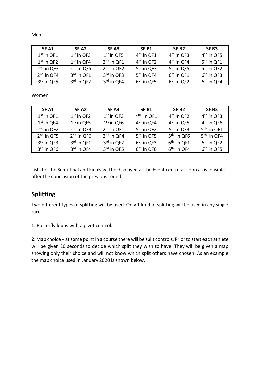| SF <sub>A1</sub> | SF <sub>A2</sub> | SF <sub>A3</sub>       | SF <sub>B1</sub> | SF <sub>B2</sub>       | SF <sub>B3</sub>       |
|------------------|------------------|------------------------|------------------|------------------------|------------------------|
| $1st$ in QF1     | $1st$ in QF3     | $1st$ in QF5           | $4th$ in QF1     | $4th$ in QF3           | $4th$ in QF5           |
| $1st$ in QF2     | $1st$ in QF4     | $2nd$ in QF1           | $4th$ in QF2     | $4th$ in QF4           | $5th$ in QF1           |
| $2nd$ in QF3     | $2nd$ in QF5     | $2nd$ in QF2           | $5th$ in QF3     | 5 <sup>th</sup> in QF5 | 5 <sup>th</sup> in QF2 |
| $2nd$ in QF4     | $3rd$ in QF1     | $3rd$ in QF3           | $5th$ in QF4     | $6th$ in QF1           | 6 <sup>th</sup> in QF3 |
| 3rd in QF5       | $3rd$ in QF2     | 3 <sup>rd</sup> in QF4 | $6th$ in QF5     | $6th$ in QF2           | $6th$ in QF4           |

#### Women

| SF <sub>A1</sub>       | SF <sub>A2</sub> | SF <sub>A3</sub> | SF <sub>B1</sub>       | SF <sub>B2</sub> | SF <sub>B3</sub>       |
|------------------------|------------------|------------------|------------------------|------------------|------------------------|
| $1st$ in QF1           | $1st$ in QF2     | $1st$ in QF3     | $4th$ in QF1           | $4th$ in QF2     | $4th$ in QF3           |
| $1st$ in QF4           | $1st$ in QF5     | $1st$ in QF6     | $4th$ in QF4           | $4th$ in QF5     | $4th$ in QF6           |
| $2nd$ in QF2           | $2nd$ in QF3     | $2nd$ in QF1     | $5th$ in QF2           | $5th$ in QF3     | $5th$ in QF1           |
| $2nd$ in QF5           | $2nd$ in QF6     | $2nd$ in QF4     | 5 <sup>th</sup> in QF5 | $5th$ in QF6     | $5th$ in QF4           |
| 3 <sup>rd</sup> in QF3 | $3rd$ in QF1     | $3rd$ in QF2     | $6th$ in QF3           | $6th$ in QF1     | $6th$ in QF2           |
| 3rd in QF6             | $3rd$ in QF4     | 3rd in QF5       | 6 <sup>th</sup> in QF6 | $6th$ in QF4     | 6 <sup>th</sup> in QF5 |

Lists for the Semi-final and Finals will be displayed at the Event centre as soon as is feasible after the conclusion of the previous round.

## **Splitting**

Two different types of splitting will be used. Only 1 kind of splitting will be used in any single race.

**1:** Butterfly loops with a pivot control.

**2:** Map choice – at some point in a course there will be split controls. Prior to start each athlete will be given 20 seconds to decide which split they wish to have. They will be given a map showing only their choice and will not know which split others have chosen. As an example the map choice used in January 2020 is shown below.